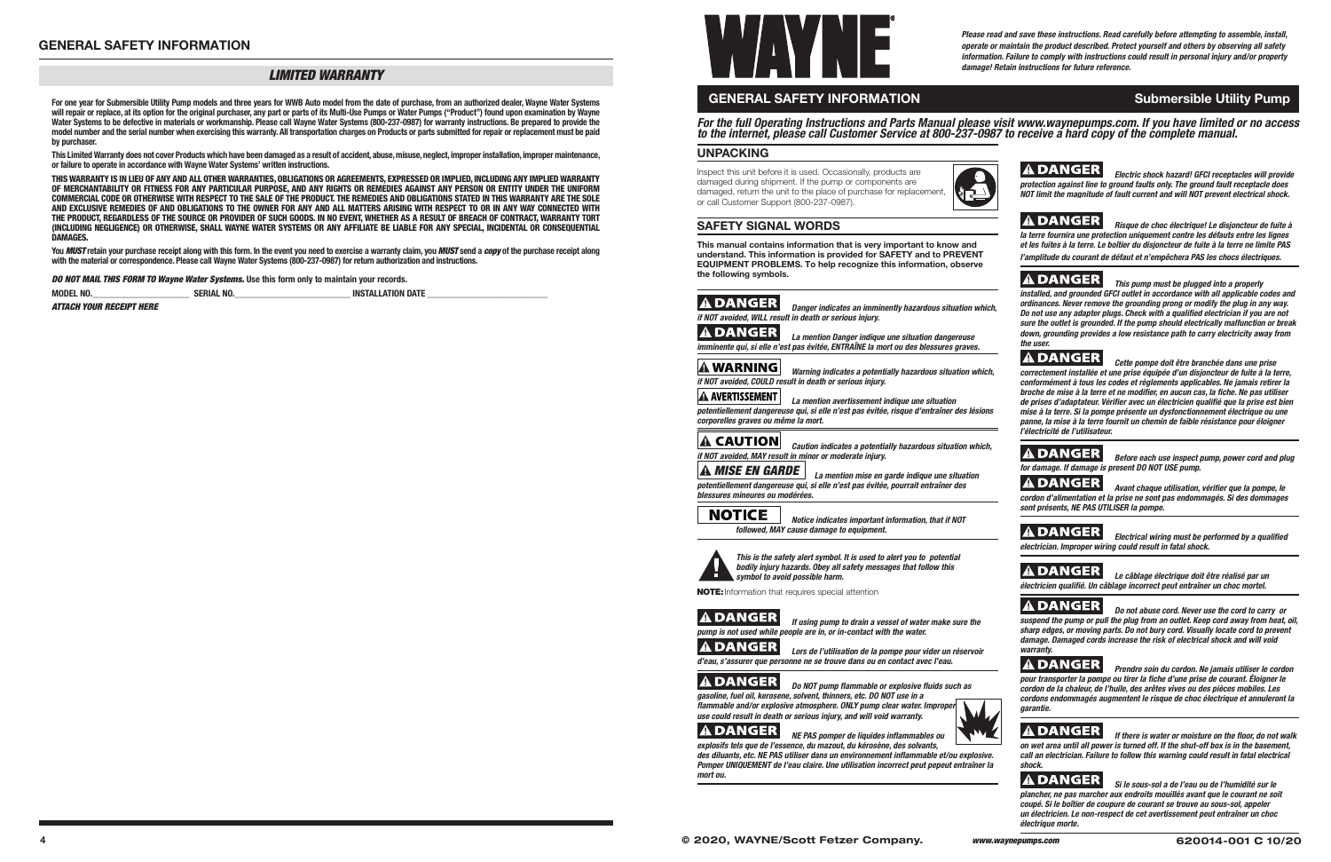### *LIMITED WARRANTY*

**For one year for Submersible Utility Pump models and three years for WWB Auto model from the date of purchase, from an authorized dealer, Wayne Water Systems will repair or replace, at its option for the original purchaser, any part or parts of its Multi-Use Pumps or Water Pumps ("Product") found upon examination by Wayne Water Systems to be defective in materials or workmanship. Please call Wayne Water Systems (800-237-0987) for warranty instructions. Be prepared to provide the model number and the serial number when exercising this warranty. All transportation charges on Products or parts submitted for repair or replacement must be paid by purchaser.** 

**This Limited Warranty does not cover Products which have been damaged as a result of accident, abuse, misuse, neglect, improper installation, improper maintenance, or failure to operate in accordance with Wayne Water Systems' written instructions.**

**THIS WARRANTY IS IN LIEU OF ANY AND ALL OTHER WARRANTIES, OBLIGATIONS OR AGREEMENTS, EXPRESSED OR IMPLIED, INCLUDING ANY IMPLIED WARRANTY OF MERCHANTABILITY OR FITNESS FOR ANY PARTICULAR PURPOSE, AND ANY RIGHTS OR REMEDIES AGAINST ANY PERSON OR ENTITY UNDER THE UNIFORM COMMERCIAL CODE OR OTHERWISE WITH RESPECT TO THE SALE OF THE PRODUCT. THE REMEDIES AND OBLIGATIONS STATED IN THIS WARRANTY ARE THE SOLE AND EXCLUSIVE REMEDIES OF AND OBLIGATIONS TO THE OWNER FOR ANY AND ALL MATTERS ARISING WITH RESPECT TO OR IN ANY WAY CONNECTED WITH THE PRODUCT, REGARDLESS OF THE SOURCE OR PROVIDER OF SUCH GOODS. IN NO EVENT, WHETHER AS A RESULT OF BREACH OF CONTRACT, WARRANTY TORT (INCLUDING NEGLIGENCE) OR OTHERWISE, SHALL WAYNE WATER SYSTEMS OR ANY AFFILIATE BE LIABLE FOR ANY SPECIAL, INCIDENTAL OR CONSEQUENTIAL DAMAGES.** 

> *A DANGER La mention Danger indique une situation dangereuse imminente qui, si elle n'est pas évitée, ENTRAÎNE la mort ou des blessures graves.*

**You** *MUST* **retain your purchase receipt along with this form. In the event you need to exercise a warranty claim, you** *MUST* **send a** *copy* **of the purchase receipt along with the material or correspondence. Please call Wayne Water Systems (800-237-0987) for return authorization and instructions.**

> A AVERTISSEMENT  *La mention avertissement indique une situation potentiellement dangereuse qui, si elle n'est pas évitée, risque d'entraîner des lésions corporelles graves ou même la mort.*

*DO NOT MAIL THIS FORM TO Wayne Water Systems.* **Use this form only to maintain your records.**

| <b>MODEL NO</b> | <b>SERIAL NO.</b> | <b>INSTALLATION DATE</b> |  |
|-----------------|-------------------|--------------------------|--|
|                 |                   |                          |  |

*ATTACH YOUR RECEIPT HERE*

# **GENERAL SAFETY INFORMATION** Submersible Utility Pump

**ADANGER**  *Lors de l'utilisation de la pompe pour vider un réservoir d'eau, s'assurer que personne ne se trouve dans ou en contact avec l'eau.*

# **ADANGER**

*Please read and save these instructions. Read carefully before attempting to assemble, install, operate or maintain the product described. Protect yourself and others by observing all safety information. Failure to comply with instructions could result in personal injury and/or property damage! Retain instructions for future reference.*

*Do NOT pump flammable or explosive fluids such as gasoline, fuel oil, kerosene, solvent, thinners, etc. DO NOT use in a fl ammable and/or explosive atmosphere. ONLY pump clear water. Improper use could result in death or serious injury, and will void warranty.*



*ADANGER NE PAS pomper de liquides inflammables ou explosifs tels que de l'essence, du mazout, du kérosène, des solvants,* 

des diluants, etc. NE PAS utiliser dans un environnement inflammable et/ou explosive. *Pomper UNIQUEMENT de l'eau claire. Une utilisation incorrect peut pepeut entraîner la mort ou.*

*For the full Operating Instructions and Parts Manual please visit www.waynepumps.com. If you have limited or no access to the internet, please call Customer Service at 800-237-0987 to receive a hard copy of the complete manual.*

### **UNPACKING**

Inspect this unit before it is used. Occasionally, products are damaged during shipment. If the pump or components are damaged, return the unit to the place of purchase for replacement, or call Customer Support (800-237-0987).



### **SAFETY SIGNAL WORDS**

**This manual contains information that is very important to know and understand. This information is provided for SAFETY and to PREVENT EQUIPMENT PROBLEMS. To help recognize this information, observe the following symbols.**

### **A DANGER**

 *Danger indicates an imminently hazardous situation which, if NOT avoided, WILL result in death or serious injury.*

### *Warning indicates a potentially hazardous situation which, if NOT avoided, COULD result in death or serious injury.*

**A DANGER** *Electrical wiring must be performed by a qualified electrician. Improper wiring could result in fatal shock.*

 *Le câblage électrique doit être réalisé par un*  électricien qualifié. Un câblage incorrect peut entraîner un choc mortel.

 *Caution indicates a potentially hazardous situation which, if NOT avoided, MAY result in minor or moderate injury.*

 *MISE EN GARDE La mention mise en garde indique une situation potentiellement dangereuse qui, si elle n'est pas évitée, pourrait entraîner des blessures mineures ou modérées.*

**NOTICE** 

 *Notice indicates important information, that if NOT followed, MAY cause damage to equipment.*



 *This is the safety alert symbol. It is used to alert you to potential bodily injury hazards. Obey all safety messages that follow this symbol to avoid possible harm.*

NOTE: Information that requires special attention

# **A DANGER**

 *If using pump to drain a vessel of water make sure the pump is not used while people are in, or in-contact with the water.*

*Electric shock hazard! GFCI receptacles will provide protection against line to ground faults only. The ground fault receptacle does NOT limit the magnitude of fault current and will NOT prevent electrical shock.*

*Risque de choc électrique! Le disjoncteur de fuite à* 

*la terre fournira une protection uniquement contre les défauts entre les lignes et les fuites à la terre. Le boîtier du disjoncteur de fuite à la terre ne limite PAS l'amplitude du courant de défaut et n'empêchera PAS les chocs électriques.*

*This pump must be plugged into a properly* 



# **ADANGER**

*installed, and grounded GFCI outlet in accordance with all applicable codes and ordinances. Never remove the grounding prong or modify the plug in any way.*  **Do not use any adapter plugs. Check with a qualified electrician if you are not** *sure the outlet is grounded. If the pump should electrically malfunction or break down, grounding provides a low resistance path to carry electricity away from* 

*the user.*

 *Cette pompe doit être branchée dans une prise correctement installée et une prise équipée d'un disjoncteur de fuite à la terre, conformément à tous les codes et règlements applicables. Ne jamais retirer la broche de mise à la terre et ne modifier, en aucun cas, la fiche. Ne pas utiliser* de prises d'adaptateur. Vérifier avec un électricien qualifié que la prise est bien *mise à la terre. Si la pompe présente un dysfonctionnement électrique ou une panne, la mise à la terre fournit un chemin de faible résistance pour éloigner* 

# **ADANGER**

**A DANGER** 

*l'électricité de l'utilisateur.*

**ADANGER** 

**ADANGER** 

*Before each use inspect pump, power cord and plug* 

Avant chaque utilisation, vérifier que la pompe, le

*for damage. If damage is present DO NOT USE pump.*

*cordon d'alimentation et la prise ne sont pas endommagés. Si des dommages* 

# **ADANGER**

*sont présents, NE PAS UTILISER la pompe.*

 *Do not abuse cord. Never use the cord to carry or suspend the pump or pull the plug from an outlet. Keep cord away from heat, oil, sharp edges, or moving parts. Do not bury cord. Visually locate cord to prevent damage. Damaged cords increase the risk of electrical shock and will void warranty.*

 *Prendre soin du cordon. Ne jamais utiliser le cordon* 

*pour transporter la pompe ou tirer la fi che d'une prise de courant. Éloigner le cordon de la chaleur, de l'huile, des arêtes vives ou des pièces mobiles. Les cordons endommagés augmentent le risque de choc électrique et annuleront la* 

# **ADANGER**

*garantie.*

**A DANGER** *If there is water or moisture on the floor, do not walk* 

*on wet area until all power is turned off. If the shut-off box is in the basement, call an electrician. Failure to follow this warning could result in fatal electrical shock.*

# **A DANGER**

 *Si le sous-sol a de l'eau ou de l'humidité sur le plancher, ne pas marcher aux endroits mouillés avant que le courant ne soit coupé. Si le boîtier de coupure de courant se trouve au sous-sol, appeler un électricien. Le non-respect de cet avertissement peut entraîner un choc électrique morte.*